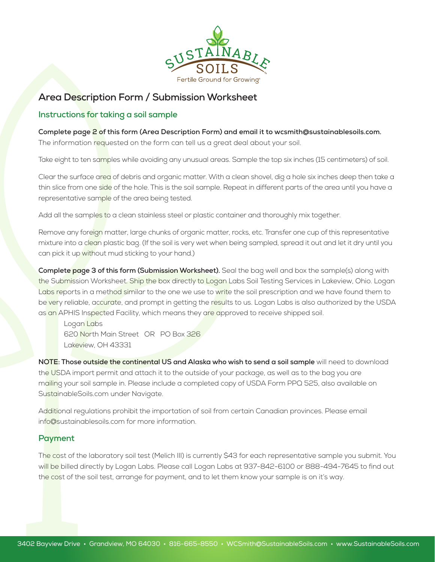

# **Area Description Form / Submission Worksheet**

### **Instructions for taking a soil sample**

#### **Complete page 2 of this form (Area Description Form) and email it to wcsmith@sustainablesoils.com.**

The information requested on the form can tell us a great deal about your soil.

Take eight to ten samples while avoiding any unusual areas. Sample the top six inches (15 centimeters) of soil.

Clear the surface area of debris and organic matter. With a clean shovel, dig a hole six inches deep then take a thin slice from one side of the hole. This is the soil sample. Repeat in different parts of the area until you have a representative sample of the area being tested.

Add all the samples to a clean stainless steel or plastic container and thoroughly mix together.

Remove any foreign matter, large chunks of organic matter, rocks, etc. Transfer one cup of this representative mixture into a clean plastic bag. (If the soil is very wet when being sampled, spread it out and let it dry until you can pick it up without mud sticking to your hand.)

**Complete page 3 of this form (Submission Worksheet).** Seal the bag well and box the sample(s) along with the Submission Worksheet. Ship the box directly to Logan Labs Soil Testing Services in Lakeview, Ohio. Logan Labs reports in a method similar to the one we use to write the soil prescription and we have found them to be very reliable, accurate, and prompt in getting the results to us. Logan Labs is also authorized by the USDA as an APHIS Inspected Facility, which means they are approved to receive shipped soil.

Logan Labs 620 North Main Street OR PO Box 326 Lakeview, OH 43331

**NOTE: Those outside the continental US and Alaska who wish to send a soil sample** will need to download the USDA import permit and attach it to the outside of your package, as well as to the bag you are mailing your soil sample in. Please include a completed copy of USDA Form PPQ 525, also available on SustainableSoils.com under Navigate.

Additional regulations prohibit the importation of soil from certain Canadian provinces. Please email info@sustainablesoils.com for more information.

## **Payment**

The cost of the laboratory soil test (Melich III) is currently \$43 for each representative sample you submit. You will be billed directly by Logan Labs. Please call Logan Labs at 937-842-6100 or 888-494-7645 to find out the cost of the soil test, arrange for payment, and to let them know your sample is on it's way.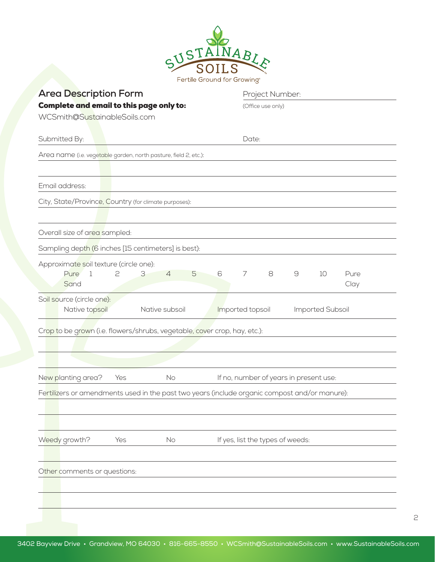| <b>Area Description Form</b>                                                                  | Project Number:                        |
|-----------------------------------------------------------------------------------------------|----------------------------------------|
| Complete and email to this page only to:                                                      | (Office use only)                      |
| WCSmith@SustainableSoils.com                                                                  |                                        |
| Submitted By:                                                                                 | Date:                                  |
| Area name (i.e. vegetable garden, north pasture, field 2, etc.):                              |                                        |
|                                                                                               |                                        |
| Email address:                                                                                |                                        |
| City, State/Province, Country (for climate purposes):                                         |                                        |
|                                                                                               |                                        |
| Overall size of area sampled:                                                                 |                                        |
| Sampling depth (6 inches [15 centimeters] is best):                                           |                                        |
| Approximate soil texture (circle one):<br>Pure<br>2<br>3<br>$\overline{4}$<br>5<br>1<br>Sand  | 6<br>7<br>8<br>9<br>10<br>Pure<br>Clay |
| Soil source (circle one):                                                                     |                                        |
| Native subsoil<br>Native topsoil                                                              | Imported topsoil<br>Imported Subsoil   |
| Crop to be grown (i.e. flowers/shrubs, vegetable, cover crop, hay, etc.):                     |                                        |
|                                                                                               |                                        |
|                                                                                               |                                        |
|                                                                                               |                                        |
| No<br>New planting area?<br>Yes                                                               | If no, number of years in present use: |
| Fertilizers or amendments used in the past two years (include organic compost and/or manure): |                                        |
|                                                                                               |                                        |
|                                                                                               |                                        |
| Weedy growth?<br>Yes<br>No                                                                    | If yes, list the types of weeds:       |
| Other comments or questions:                                                                  |                                        |

2